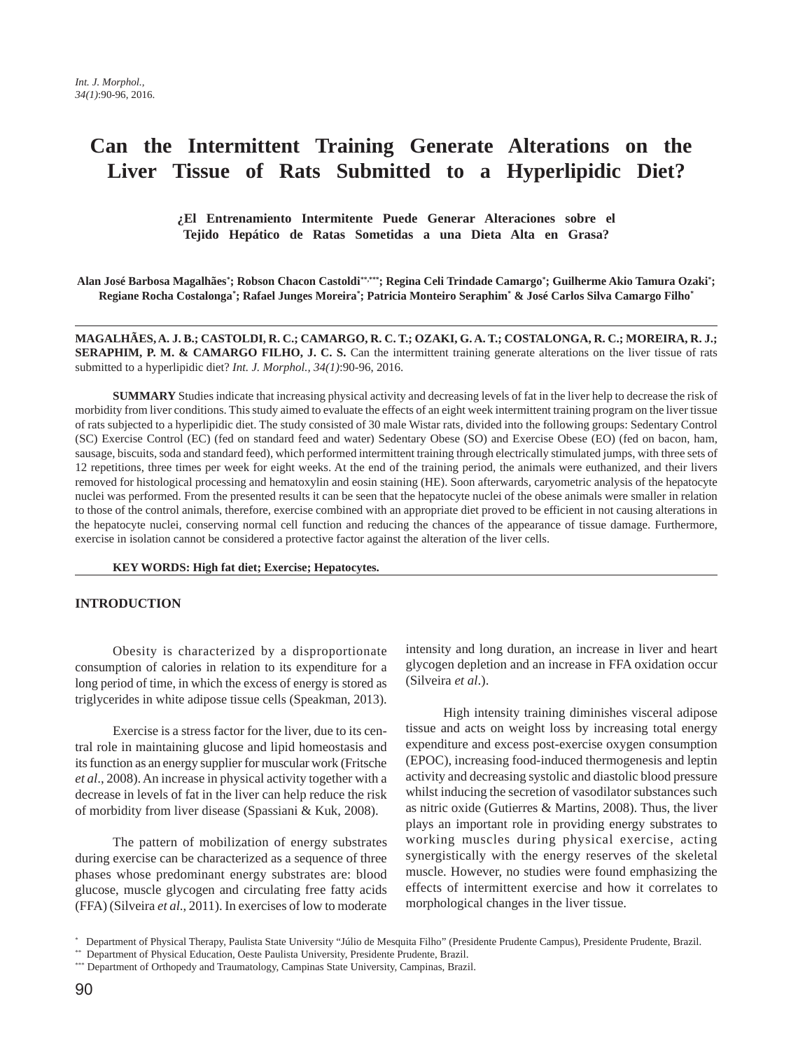# **Can the Intermittent Training Generate Alterations on the Liver Tissue of Rats Submitted to a Hyperlipidic Diet?**

**¿El Entrenamiento Intermitente Puede Generar Alteraciones sobre el Tejido Hepático de Ratas Sometidas a una Dieta Alta en Grasa?**

**Alan José Barbosa Magalhães\* ; Robson Chacon Castoldi\*\*,\*\*\*; Regina Celi Trindade Camargo\* ; Guilherme Akio Tamura Ozaki\* ; Regiane Rocha Costalonga\* ; Rafael Junges Moreira\* ; Patricia Monteiro Seraphim\* & José Carlos Silva Camargo Filho\***

**MAGALHÃES, A. J. B.; CASTOLDI, R. C.; CAMARGO, R. C. T.; OZAKI, G. A. T.; COSTALONGA, R. C.; MOREIRA, R. J.; SERAPHIM, P. M. & CAMARGO FILHO, J. C. S.** Can the intermittent training generate alterations on the liver tissue of rats submitted to a hyperlipidic diet? *Int. J. Morphol., 34(1)*:90-96, 2016.

**SUMMARY** Studies indicate that increasing physical activity and decreasing levels of fat in the liver help to decrease the risk of morbidity from liver conditions. This study aimed to evaluate the effects of an eight week intermittent training program on the liver tissue of rats subjected to a hyperlipidic diet. The study consisted of 30 male Wistar rats, divided into the following groups: Sedentary Control (SC) Exercise Control (EC) (fed on standard feed and water) Sedentary Obese (SO) and Exercise Obese (EO) (fed on bacon, ham, sausage, biscuits, soda and standard feed), which performed intermittent training through electrically stimulated jumps, with three sets of 12 repetitions, three times per week for eight weeks. At the end of the training period, the animals were euthanized, and their livers removed for histological processing and hematoxylin and eosin staining (HE). Soon afterwards, caryometric analysis of the hepatocyte nuclei was performed. From the presented results it can be seen that the hepatocyte nuclei of the obese animals were smaller in relation to those of the control animals, therefore, exercise combined with an appropriate diet proved to be efficient in not causing alterations in the hepatocyte nuclei, conserving normal cell function and reducing the chances of the appearance of tissue damage. Furthermore, exercise in isolation cannot be considered a protective factor against the alteration of the liver cells.

#### **KEY WORDS: High fat diet; Exercise; Hepatocytes.**

### **INTRODUCTION**

Obesity is characterized by a disproportionate consumption of calories in relation to its expenditure for a long period of time, in which the excess of energy is stored as triglycerides in white adipose tissue cells (Speakman, 2013).

Exercise is a stress factor for the liver, due to its central role in maintaining glucose and lipid homeostasis and its function as an energy supplier for muscular work (Fritsche *et al*., 2008). An increase in physical activity together with a decrease in levels of fat in the liver can help reduce the risk of morbidity from liver disease (Spassiani & Kuk, 2008).

The pattern of mobilization of energy substrates during exercise can be characterized as a sequence of three phases whose predominant energy substrates are: blood glucose, muscle glycogen and circulating free fatty acids (FFA) (Silveira *et al*., 2011). In exercises of low to moderate intensity and long duration, an increase in liver and heart glycogen depletion and an increase in FFA oxidation occur (Silveira *et al*.).

High intensity training diminishes visceral adipose tissue and acts on weight loss by increasing total energy expenditure and excess post-exercise oxygen consumption (EPOC), increasing food-induced thermogenesis and leptin activity and decreasing systolic and diastolic blood pressure whilst inducing the secretion of vasodilator substances such as nitric oxide (Gutierres & Martins, 2008). Thus, the liver plays an important role in providing energy substrates to working muscles during physical exercise, acting synergistically with the energy reserves of the skeletal muscle. However, no studies were found emphasizing the effects of intermittent exercise and how it correlates to morphological changes in the liver tissue.

<sup>\*</sup> Department of Physical Therapy, Paulista State University "Júlio de Mesquita Filho" (Presidente Prudente Campus), Presidente Prudente, Brazil.

<sup>\*\*</sup> Department of Physical Education, Oeste Paulista University, Presidente Prudente, Brazil.

<sup>\*\*\*</sup> Department of Orthopedy and Traumatology, Campinas State University, Campinas, Brazil.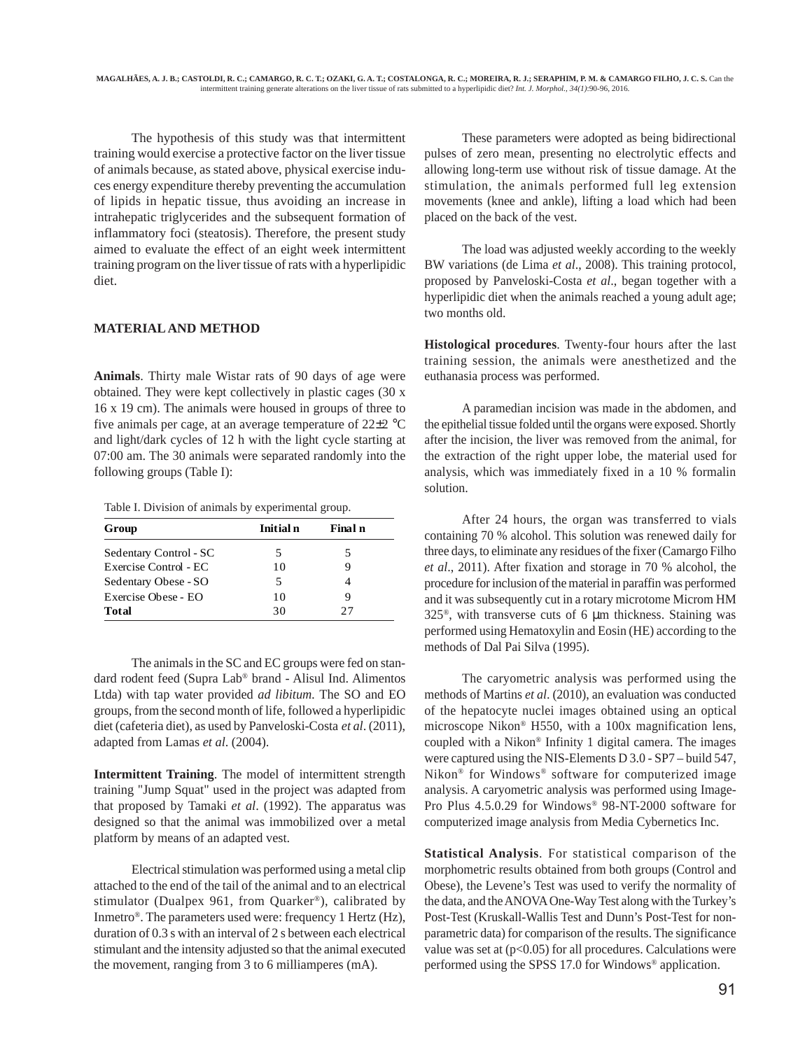The hypothesis of this study was that intermittent training would exercise a protective factor on the liver tissue of animals because, as stated above, physical exercise induces energy expenditure thereby preventing the accumulation of lipids in hepatic tissue, thus avoiding an increase in intrahepatic triglycerides and the subsequent formation of inflammatory foci (steatosis). Therefore, the present study aimed to evaluate the effect of an eight week intermittent training program on the liver tissue of rats with a hyperlipidic diet.

# **MATERIAL AND METHOD**

**Animals**. Thirty male Wistar rats of 90 days of age were obtained. They were kept collectively in plastic cages (30 x 16 x 19 cm). The animals were housed in groups of three to five animals per cage, at an average temperature of 22±2 °C and light/dark cycles of 12 h with the light cycle starting at 07:00 am. The 30 animals were separated randomly into the following groups (Table I):

Table I. Division of animals by experimental group.

| Group                  | Initial n | Final n |  |
|------------------------|-----------|---------|--|
| Sedentary Control - SC | 5         | ↖       |  |
| Exercise Control - EC  | 10        |         |  |
| Sedentary Obese - SO   | 5         |         |  |
| Exercise Obese - EO    | 10        | 9       |  |
| Total                  | 30        | 27      |  |

The animals in the SC and EC groups were fed on standard rodent feed (Supra Lab® brand - Alisul Ind. Alimentos Ltda) with tap water provided *ad libitum.* The SO and EO groups, from the second month of life, followed a hyperlipidic diet (cafeteria diet), as used by Panveloski-Costa *et al*. (2011), adapted from Lamas *et al*. (2004).

**Intermittent Training**. The model of intermittent strength training "Jump Squat" used in the project was adapted from that proposed by Tamaki *et al*. (1992). The apparatus was designed so that the animal was immobilized over a metal platform by means of an adapted vest.

Electrical stimulation was performed using a metal clip attached to the end of the tail of the animal and to an electrical stimulator (Dualpex 961, from Quarker®), calibrated by Inmetro®. The parameters used were: frequency 1 Hertz (Hz), duration of 0.3 s with an interval of 2 s between each electrical stimulant and the intensity adjusted so that the animal executed the movement, ranging from 3 to 6 milliamperes (mA).

These parameters were adopted as being bidirectional pulses of zero mean, presenting no electrolytic effects and allowing long-term use without risk of tissue damage. At the stimulation, the animals performed full leg extension movements (knee and ankle), lifting a load which had been placed on the back of the vest.

The load was adjusted weekly according to the weekly BW variations (de Lima *et al*., 2008). This training protocol, proposed by Panveloski-Costa *et al*., began together with a hyperlipidic diet when the animals reached a young adult age; two months old.

**Histological procedures**. Twenty-four hours after the last training session, the animals were anesthetized and the euthanasia process was performed.

A paramedian incision was made in the abdomen, and the epithelial tissue folded until the organs were exposed. Shortly after the incision, the liver was removed from the animal, for the extraction of the right upper lobe, the material used for analysis, which was immediately fixed in a 10 % formalin solution.

After 24 hours, the organ was transferred to vials containing 70 % alcohol. This solution was renewed daily for three days, to eliminate any residues of the fixer (Camargo Filho *et al*., 2011). After fixation and storage in 70 % alcohol, the procedure for inclusion of the material in paraffin was performed and it was subsequently cut in a rotary microtome Microm HM 325<sup>®</sup>, with transverse cuts of 6  $\mu$ m thickness. Staining was performed using Hematoxylin and Eosin (HE) according to the methods of Dal Pai Silva (1995).

The caryometric analysis was performed using the methods of Martins *et al*. (2010), an evaluation was conducted of the hepatocyte nuclei images obtained using an optical microscope Nikon® H550, with a 100x magnification lens, coupled with a Nikon® Infinity 1 digital camera. The images were captured using the NIS-Elements D 3.0 - SP7 – build 547, Nikon® for Windows® software for computerized image analysis. A caryometric analysis was performed using Image-Pro Plus 4.5.0.29 for Windows® 98-NT-2000 software for computerized image analysis from Media Cybernetics Inc.

**Statistical Analysis**. For statistical comparison of the morphometric results obtained from both groups (Control and Obese), the Levene's Test was used to verify the normality of the data, and the ANOVA One-Way Test along with the Turkey's Post-Test (Kruskall-Wallis Test and Dunn's Post-Test for nonparametric data) for comparison of the results. The significance value was set at  $(p<0.05)$  for all procedures. Calculations were performed using the SPSS 17.0 for Windows® application.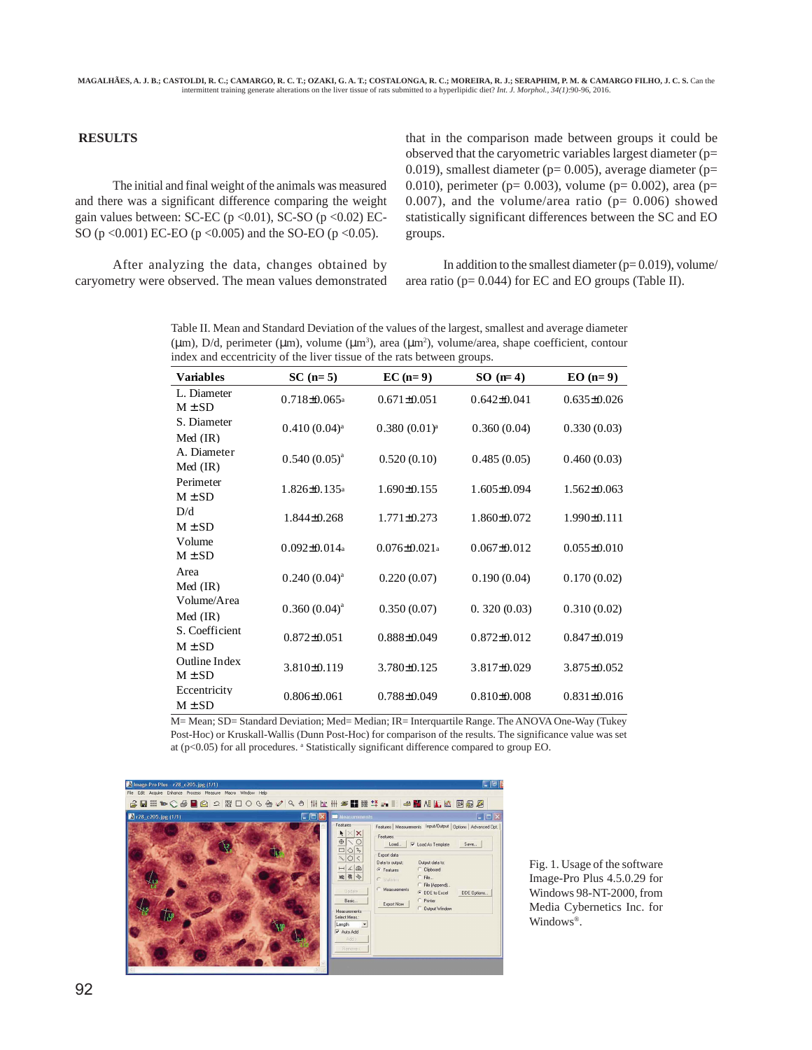### **RESULTS**

The initial and final weight of the animals was measured and there was a significant difference comparing the weight gain values between: SC-EC ( $p < 0.01$ ), SC-SO ( $p < 0.02$ ) EC-SO ( $p < 0.001$ ) EC-EO ( $p < 0.005$ ) and the SO-EO ( $p < 0.05$ ).

After analyzing the data, changes obtained by caryometry were observed. The mean values demonstrated

that in the comparison made between groups it could be observed that the caryometric variables largest diameter  $(p=$ 0.019), smallest diameter ( $p= 0.005$ ), average diameter ( $p=$ 0.010), perimeter ( $p= 0.003$ ), volume ( $p= 0.002$ ), area ( $p=$ 0.007), and the volume/area ratio ( $p= 0.006$ ) showed statistically significant differences between the SC and EO groups.

In addition to the smallest diameter ( $p= 0.019$ ), volume area ratio (p= 0.044) for EC and EO groups (Table II).

| Table II. Mean and Standard Deviation of the values of the largest, smallest and average diameter                                              |
|------------------------------------------------------------------------------------------------------------------------------------------------|
| ( $\mu$ m), D/d, perimeter ( $\mu$ m), volume ( $\mu$ m <sup>3</sup> ), area ( $\mu$ m <sup>2</sup> ), volume/area, shape coefficient, contour |
| index and eccentricity of the liver tissue of the rats between groups.                                                                         |

| <b>Variables</b>                   | $SC(n=5)$                      | $EC(n=9)$                      | $SO(n=4)$         | $EO(n=9)$         |
|------------------------------------|--------------------------------|--------------------------------|-------------------|-------------------|
| L. Diameter<br>$M \pm SD$          | $0.718 \pm 0.065$ <sup>a</sup> | $0.671 \pm 0.051$              | $0.642\pm0.041$   | $0.635 \pm 0.026$ |
| S. Diameter<br>Med (IR)            | $0.410(0.04)^a$                | 0.380(0.01) <sup>a</sup>       | 0.360(0.04)       | 0.330(0.03)       |
| A. Diameter<br>Med (IR)            | $0.540(0.05)^{a}$              | 0.520(0.10)                    | 0.485(0.05)       | 0.460(0.03)       |
| Perimeter<br>$M \pm SD$            | 1.826±0.135 <sup>a</sup>       | $1.690 \pm 0.155$              | $1.605\pm0.094$   | $1.562\pm0.063$   |
| D/d<br>$M \pm SD$                  | $1.844\pm0.268$                | $1.771 \pm 0.273$              | $1.860\pm0.072$   | $1.990 \pm 0.111$ |
| Volume<br>$M \pm SD$               | $0.092\pm0.014$ <sub>a</sub>   | $0.076 \pm 0.021$ <sub>a</sub> | $0.067 \pm 0.012$ | $0.055 \pm 0.010$ |
| Area<br>Med (IR)                   | $0.240(0.04)^{a}$              | 0.220(0.07)                    | 0.190(0.04)       | 0.170(0.02)       |
| Volume/Area<br>Med (IR)            | $0.360(0.04)^{a}$              | 0.350(0.07)                    | 0.320(0.03)       | 0.310(0.02)       |
| S. Coefficient<br>$M \pm SD$       | $0.872 \pm 0.051$              | $0.888 \pm 0.049$              | $0.872 \pm 0.012$ | $0.847 \pm 0.019$ |
| <b>Outline Index</b><br>$M \pm SD$ | 3.810±0.119                    | 3.780±0.125                    | 3.817±0.029       | 3.875±0.052       |
| Eccentricity<br>$M \pm SD$         | $0.806 \pm 0.061$              | $0.788 \pm 0.049$              | $0.810\pm0.008$   | $0.831 \pm 0.016$ |

M= Mean; SD= Standard Deviation; Med= Median; IR= Interquartile Range. The ANOVA One-Way (Tukey Post-Hoc) or Kruskall-Wallis (Dunn Post-Hoc) for comparison of the results. The significance value was set at (p<0.05) for all procedures. <sup>a</sup> Statistically significant difference compared to group EO.



Fig. 1. Usage of the software Image-Pro Plus 4.5.0.29 for Windows 98-NT-2000, from Media Cybernetics Inc. for Windows<sup>®</sup>.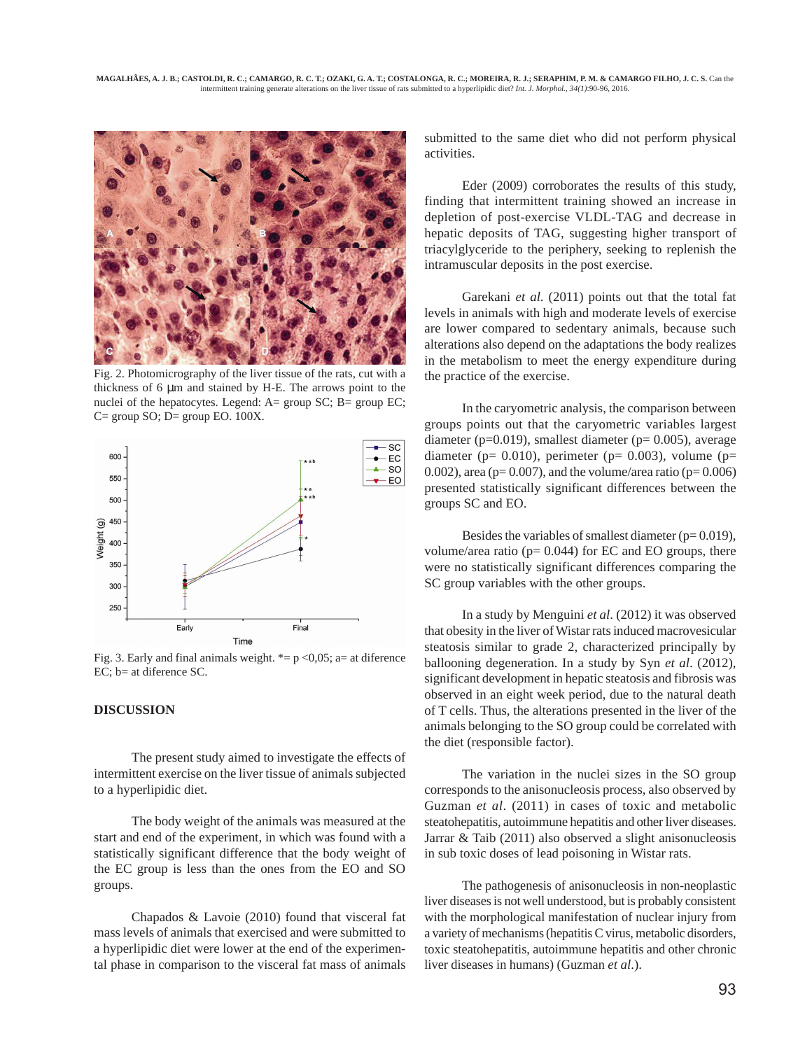

Fig. 2. Photomicrography of the liver tissue of the rats, cut with a thickness of 6 µm and stained by H-E. The arrows point to the nuclei of the hepatocytes. Legend: A= group SC; B= group EC;  $C=$  group SO;  $D=$  group EO. 100X.



Fig. 3. Early and final animals weight.  $* = p \lt 0.05$ ; a= at diference EC; b= at diference SC.

#### **DISCUSSION**

The present study aimed to investigate the effects of intermittent exercise on the liver tissue of animals subjected to a hyperlipidic diet.

The body weight of the animals was measured at the start and end of the experiment, in which was found with a statistically significant difference that the body weight of the EC group is less than the ones from the EO and SO groups.

Chapados & Lavoie (2010) found that visceral fat mass levels of animals that exercised and were submitted to a hyperlipidic diet were lower at the end of the experimental phase in comparison to the visceral fat mass of animals

submitted to the same diet who did not perform physical activities.

Eder (2009) corroborates the results of this study, finding that intermittent training showed an increase in depletion of post-exercise VLDL-TAG and decrease in hepatic deposits of TAG, suggesting higher transport of triacylglyceride to the periphery, seeking to replenish the intramuscular deposits in the post exercise.

Garekani *et al*. (2011) points out that the total fat levels in animals with high and moderate levels of exercise are lower compared to sedentary animals, because such alterations also depend on the adaptations the body realizes in the metabolism to meet the energy expenditure during the practice of the exercise.

In the caryometric analysis, the comparison between groups points out that the caryometric variables largest diameter ( $p=0.019$ ), smallest diameter ( $p=0.005$ ), average diameter ( $p= 0.010$ ), perimeter ( $p= 0.003$ ), volume ( $p=$ 0.002), area ( $p= 0.007$ ), and the volume/area ratio ( $p= 0.006$ ) presented statistically significant differences between the groups SC and EO.

Besides the variables of smallest diameter ( $p= 0.019$ ), volume/area ratio ( $p= 0.044$ ) for EC and EO groups, there were no statistically significant differences comparing the SC group variables with the other groups.

In a study by Menguini *et al*. (2012) it was observed that obesity in the liver of Wistar rats induced macrovesicular steatosis similar to grade 2, characterized principally by ballooning degeneration. In a study by Syn *et al*. (2012), significant development in hepatic steatosis and fibrosis was observed in an eight week period, due to the natural death of T cells. Thus, the alterations presented in the liver of the animals belonging to the SO group could be correlated with the diet (responsible factor).

The variation in the nuclei sizes in the SO group corresponds to the anisonucleosis process, also observed by Guzman *et al*. (2011) in cases of toxic and metabolic steatohepatitis, autoimmune hepatitis and other liver diseases. Jarrar & Taib (2011) also observed a slight anisonucleosis in sub toxic doses of lead poisoning in Wistar rats.

The pathogenesis of anisonucleosis in non-neoplastic liver diseases is not well understood, but is probably consistent with the morphological manifestation of nuclear injury from a variety of mechanisms (hepatitis C virus, metabolic disorders, toxic steatohepatitis, autoimmune hepatitis and other chronic liver diseases in humans) (Guzman *et al*.).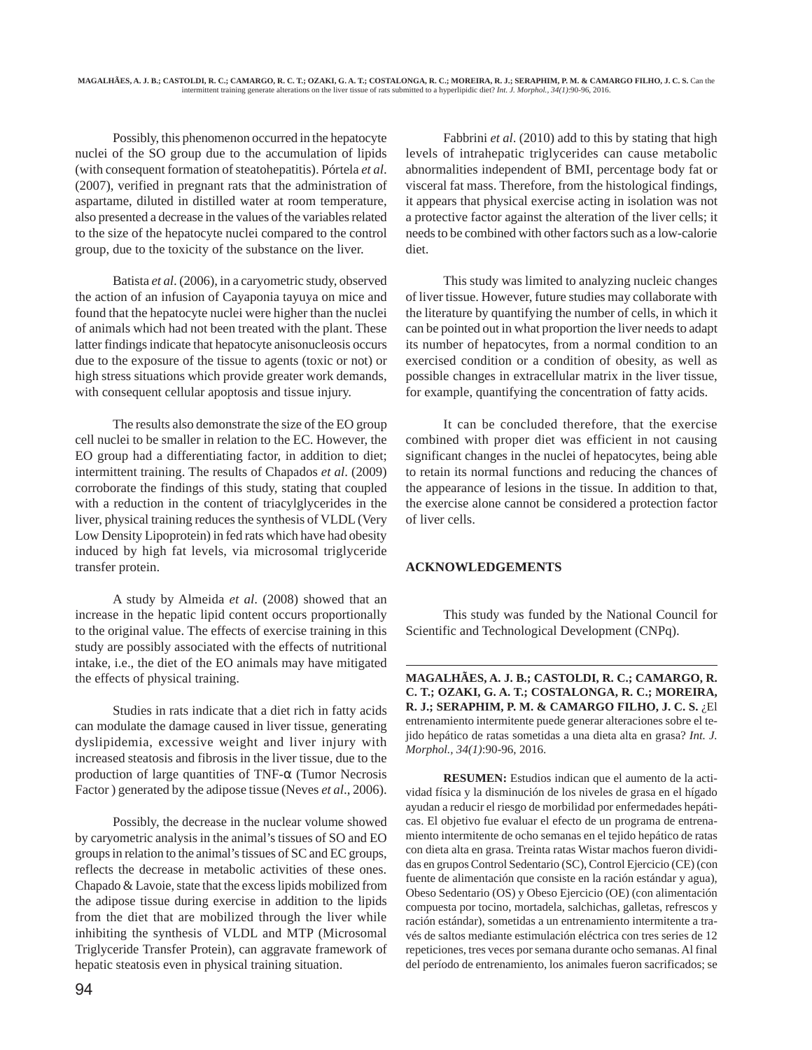Possibly, this phenomenon occurred in the hepatocyte nuclei of the SO group due to the accumulation of lipids (with consequent formation of steatohepatitis). Pórtela *et al*. (2007), verified in pregnant rats that the administration of aspartame, diluted in distilled water at room temperature, also presented a decrease in the values of the variables related to the size of the hepatocyte nuclei compared to the control group, due to the toxicity of the substance on the liver.

Batista *et al*. (2006), in a caryometric study, observed the action of an infusion of Cayaponia tayuya on mice and found that the hepatocyte nuclei were higher than the nuclei of animals which had not been treated with the plant. These latter findings indicate that hepatocyte anisonucleosis occurs due to the exposure of the tissue to agents (toxic or not) or high stress situations which provide greater work demands, with consequent cellular apoptosis and tissue injury.

The results also demonstrate the size of the EO group cell nuclei to be smaller in relation to the EC. However, the EO group had a differentiating factor, in addition to diet; intermittent training. The results of Chapados *et al*. (2009) corroborate the findings of this study, stating that coupled with a reduction in the content of triacylglycerides in the liver, physical training reduces the synthesis of VLDL (Very Low Density Lipoprotein) in fed rats which have had obesity induced by high fat levels, via microsomal triglyceride transfer protein.

A study by Almeida *et al*. (2008) showed that an increase in the hepatic lipid content occurs proportionally to the original value. The effects of exercise training in this study are possibly associated with the effects of nutritional intake, i.e., the diet of the EO animals may have mitigated the effects of physical training.

Studies in rats indicate that a diet rich in fatty acids can modulate the damage caused in liver tissue, generating dyslipidemia, excessive weight and liver injury with increased steatosis and fibrosis in the liver tissue, due to the production of large quantities of TNF-α (Tumor Necrosis Factor ) generated by the adipose tissue (Neves *et al*., 2006).

Possibly, the decrease in the nuclear volume showed by caryometric analysis in the animal's tissues of SO and EO groups in relation to the animal's tissues of SC and EC groups, reflects the decrease in metabolic activities of these ones. Chapado & Lavoie, state that the excess lipids mobilized from the adipose tissue during exercise in addition to the lipids from the diet that are mobilized through the liver while inhibiting the synthesis of VLDL and MTP (Microsomal Triglyceride Transfer Protein), can aggravate framework of hepatic steatosis even in physical training situation.

Fabbrini *et al*. (2010) add to this by stating that high levels of intrahepatic triglycerides can cause metabolic abnormalities independent of BMI, percentage body fat or visceral fat mass. Therefore, from the histological findings, it appears that physical exercise acting in isolation was not a protective factor against the alteration of the liver cells; it needs to be combined with other factors such as a low-calorie diet.

This study was limited to analyzing nucleic changes of liver tissue. However, future studies may collaborate with the literature by quantifying the number of cells, in which it can be pointed out in what proportion the liver needs to adapt its number of hepatocytes, from a normal condition to an exercised condition or a condition of obesity, as well as possible changes in extracellular matrix in the liver tissue, for example, quantifying the concentration of fatty acids.

It can be concluded therefore, that the exercise combined with proper diet was efficient in not causing significant changes in the nuclei of hepatocytes, being able to retain its normal functions and reducing the chances of the appearance of lesions in the tissue. In addition to that, the exercise alone cannot be considered a protection factor of liver cells.

# **ACKNOWLEDGEMENTS**

This study was funded by the National Council for Scientific and Technological Development (CNPq).

**MAGALHÃES, A. J. B.; CASTOLDI, R. C.; CAMARGO, R. C. T.; OZAKI, G. A. T.; COSTALONGA, R. C.; MOREIRA, R. J.; SERAPHIM, P. M. & CAMARGO FILHO, J. C. S.** ¿El entrenamiento intermitente puede generar alteraciones sobre el tejido hepático de ratas sometidas a una dieta alta en grasa? *Int. J. Morphol., 34(1)*:90-96, 2016.

**RESUMEN:** Estudios indican que el aumento de la actividad física y la disminución de los niveles de grasa en el hígado ayudan a reducir el riesgo de morbilidad por enfermedades hepáticas. El objetivo fue evaluar el efecto de un programa de entrenamiento intermitente de ocho semanas en el tejido hepático de ratas con dieta alta en grasa. Treinta ratas Wistar machos fueron divididas en grupos Control Sedentario (SC), Control Ejercicio (CE) (con fuente de alimentación que consiste en la ración estándar y agua), Obeso Sedentario (OS) y Obeso Ejercicio (OE) (con alimentación compuesta por tocino, mortadela, salchichas, galletas, refrescos y ración estándar), sometidas a un entrenamiento intermitente a través de saltos mediante estimulación eléctrica con tres series de 12 repeticiones, tres veces por semana durante ocho semanas. Al final del período de entrenamiento, los animales fueron sacrificados; se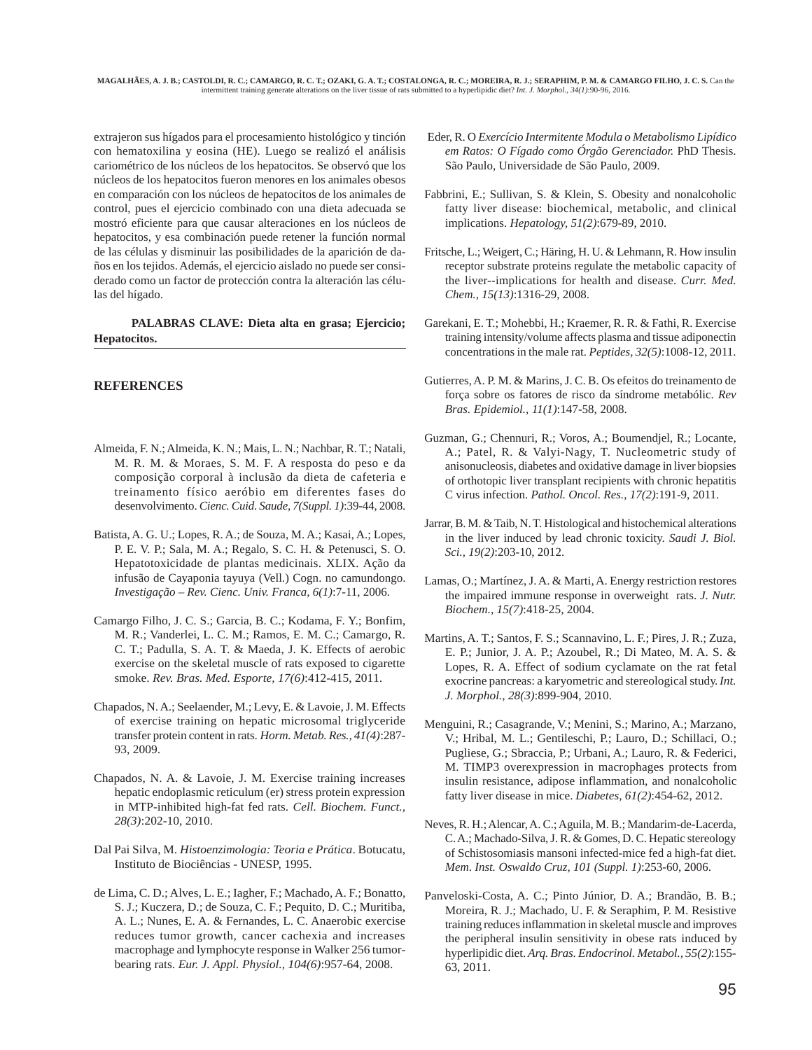extrajeron sus hígados para el procesamiento histológico y tinción con hematoxilina y eosina (HE). Luego se realizó el análisis cariométrico de los núcleos de los hepatocitos. Se observó que los núcleos de los hepatocitos fueron menores en los animales obesos en comparación con los núcleos de hepatocitos de los animales de control, pues el ejercicio combinado con una dieta adecuada se mostró eficiente para que causar alteraciones en los núcleos de hepatocitos, y esa combinación puede retener la función normal de las células y disminuir las posibilidades de la aparición de daños en los tejidos. Además, el ejercicio aislado no puede ser considerado como un factor de protección contra la alteración las células del hígado.

**PALABRAS CLAVE: Dieta alta en grasa; Ejercicio; Hepatocitos.**

# **REFERENCES**

- Almeida, F. N.; Almeida, K. N.; Mais, L. N.; Nachbar, R. T.; Natali, M. R. M. & Moraes, S. M. F. A resposta do peso e da composição corporal à inclusão da dieta de cafeteria e treinamento físico aeróbio em diferentes fases do desenvolvimento. *Cienc. Cuid. Saude, 7(Suppl. 1)*:39-44, 2008.
- Batista, A. G. U.; Lopes, R. A.; de Souza, M. A.; Kasai, A.; Lopes, P. E. V. P.; Sala, M. A.; Regalo, S. C. H. & Petenusci, S. O. Hepatotoxicidade de plantas medicinais. XLIX. Ação da infusão de Cayaponia tayuya (Vell.) Cogn. no camundongo. *Investigação – Rev. Cienc. Univ. Franca, 6(1)*:7-11, 2006.
- Camargo Filho, J. C. S.; Garcia, B. C.; Kodama, F. Y.; Bonfim, M. R.; Vanderlei, L. C. M.; Ramos, E. M. C.; Camargo, R. C. T.; Padulla, S. A. T. & Maeda, J. K. Effects of aerobic exercise on the skeletal muscle of rats exposed to cigarette smoke. *Rev. Bras. Med. Esporte, 17(6)*:412-415, 2011.
- Chapados, N. A.; Seelaender, M.; Levy, E. & Lavoie, J. M. Effects of exercise training on hepatic microsomal triglyceride transfer protein content in rats. *Horm. Metab. Res., 41(4)*:287- 93, 2009.
- Chapados, N. A. & Lavoie, J. M. Exercise training increases hepatic endoplasmic reticulum (er) stress protein expression in MTP-inhibited high-fat fed rats. *Cell. Biochem. Funct., 28(3)*:202-10, 2010.
- Dal Pai Silva, M. *Histoenzimologia: Teoria e Prática*. Botucatu, Instituto de Biociências - UNESP, 1995.
- de Lima, C. D.; Alves, L. E.; Iagher, F.; Machado, A. F.; Bonatto, S. J.; Kuczera, D.; de Souza, C. F.; Pequito, D. C.; Muritiba, A. L.; Nunes, E. A. & Fernandes, L. C. Anaerobic exercise reduces tumor growth, cancer cachexia and increases macrophage and lymphocyte response in Walker 256 tumorbearing rats. *Eur. J. Appl. Physiol., 104(6)*:957-64, 2008.
- Eder, R. O *Exercício Intermitente Modula o Metabolismo Lipídico em Ratos: O Fígado como Órgão Gerenciador.* PhD Thesis. São Paulo, Universidade de São Paulo, 2009.
- Fabbrini, E.; Sullivan, S. & Klein, S. Obesity and nonalcoholic fatty liver disease: biochemical, metabolic, and clinical implications. *Hepatology, 51(2)*:679-89, 2010.
- Fritsche, L.; Weigert, C.; Häring, H. U. & Lehmann, R. How insulin receptor substrate proteins regulate the metabolic capacity of the liver--implications for health and disease. *Curr. Med. Chem., 15(13)*:1316-29, 2008.
- Garekani, E. T.; Mohebbi, H.; Kraemer, R. R. & Fathi, R. Exercise training intensity/volume affects plasma and tissue adiponectin concentrations in the male rat. *Peptides, 32(5)*:1008-12, 2011.
- Gutierres, A. P. M. & Marins, J. C. B. Os efeitos do treinamento de força sobre os fatores de risco da síndrome metabólic. *Rev Bras. Epidemiol., 11(1)*:147-58, 2008.
- Guzman, G.; Chennuri, R.; Voros, A.; Boumendjel, R.; Locante, A.; Patel, R. & Valyi-Nagy, T. Nucleometric study of anisonucleosis, diabetes and oxidative damage in liver biopsies of orthotopic liver transplant recipients with chronic hepatitis C virus infection. *Pathol. Oncol. Res., 17(2)*:191-9, 2011.
- Jarrar, B. M. & Taib, N. T. Histological and histochemical alterations in the liver induced by lead chronic toxicity. *Saudi J. Biol. Sci., 19(2)*:203-10, 2012.
- Lamas, O.; Martínez, J. A. & Marti, A. Energy restriction restores the impaired immune response in overweight rats. *J. Nutr. Biochem., 15(7)*:418-25, 2004.
- Martins, A. T.; Santos, F. S.; Scannavino, L. F.; Pires, J. R.; Zuza, E. P.; Junior, J. A. P.; Azoubel, R.; Di Mateo, M. A. S. & Lopes, R. A. Effect of sodium cyclamate on the rat fetal exocrine pancreas: a karyometric and stereological study. *Int. J. Morphol., 28(3)*:899-904, 2010.
- Menguini, R.; Casagrande, V.; Menini, S.; Marino, A.; Marzano, V.; Hribal, M. L.; Gentileschi, P.; Lauro, D.; Schillaci, O.; Pugliese, G.; Sbraccia, P.; Urbani, A.; Lauro, R. & Federici, M. TIMP3 overexpression in macrophages protects from insulin resistance, adipose inflammation, and nonalcoholic fatty liver disease in mice. *Diabetes, 61(2)*:454-62, 2012.
- Neves, R. H.; Alencar, A. C.; Aguila, M. B.; Mandarim-de-Lacerda, C. A.; Machado-Silva, J. R. & Gomes, D. C. Hepatic stereology of Schistosomiasis mansoni infected-mice fed a high-fat diet. *Mem*. *Inst. Oswaldo Cruz, 101 (Suppl. 1)*:253-60, 2006.
- Panveloski-Costa, A. C.; Pinto Júnior, D. A.; Brandão, B. B.; Moreira, R. J.; Machado, U. F. & Seraphim, P. M. Resistive training reduces inflammation in skeletal muscle and improves the peripheral insulin sensitivity in obese rats induced by hyperlipidic diet. *Arq. Bras. Endocrinol. Metabol., 55(2)*:155- 63, 2011.